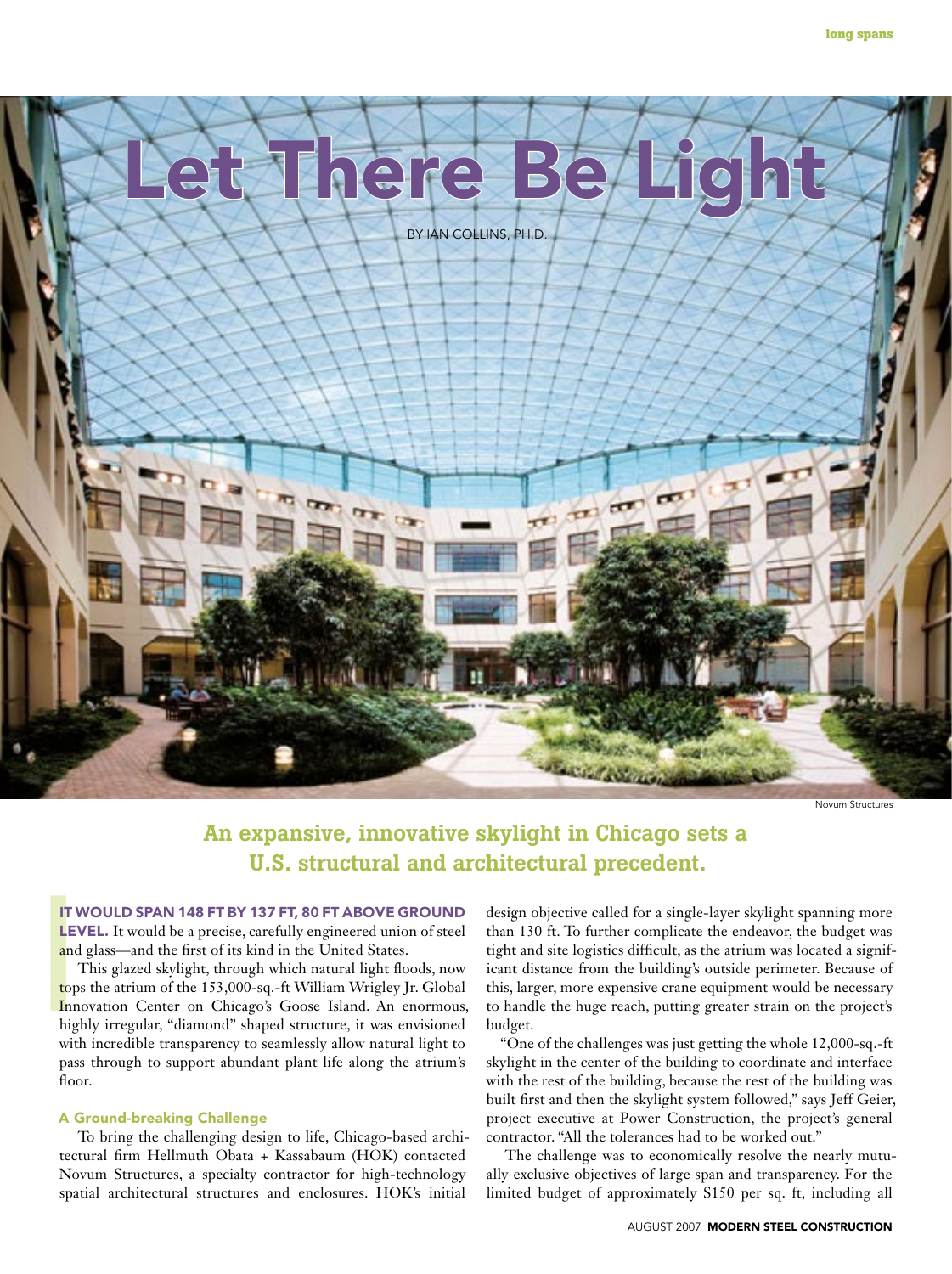

Novum Structures

# An expansive, innovative skylight in Chicago sets a U.S. structural and architectural precedent.

#### It would span 148 ft by 137 ft, 80 ft above ground

LEVEL. It would be a precise, carefully engineered union of steel and glass—and the first of its kind in the United States.

IT V<br>
LEV<br>
and<br>
top:<br>
Inn<br>
hig!<br>
wit! This glazed skylight, through which natural light floods, now tops the atrium of the 153,000-sq.-ft William Wrigley Jr. Global Innovation Center on Chicago's Goose Island. An enormous, highly irregular, "diamond" shaped structure, it was envisioned with incredible transparency to seamlessly allow natural light to pass through to support abundant plant life along the atrium's floor.

### A Ground-breaking Challenge

To bring the challenging design to life, Chicago-based architectural firm Hellmuth Obata + Kassabaum (HOK) contacted Novum Structures, a specialty contractor for high-technology spatial architectural structures and enclosures. HOK's initial

design objective called for a single-layer skylight spanning more than 130 ft. To further complicate the endeavor, the budget was tight and site logistics difficult, as the atrium was located a significant distance from the building's outside perimeter. Because of this, larger, more expensive crane equipment would be necessary to handle the huge reach, putting greater strain on the project's budget.

"One of the challenges was just getting the whole 12,000-sq.-ft skylight in the center of the building to coordinate and interface with the rest of the building, because the rest of the building was built first and then the skylight system followed," says Jeff Geier, project executive at Power Construction, the project's general contractor. "All the tolerances had to be worked out."

The challenge was to economically resolve the nearly mutually exclusive objectives of large span and transparency. For the limited budget of approximately \$150 per sq. ft, including all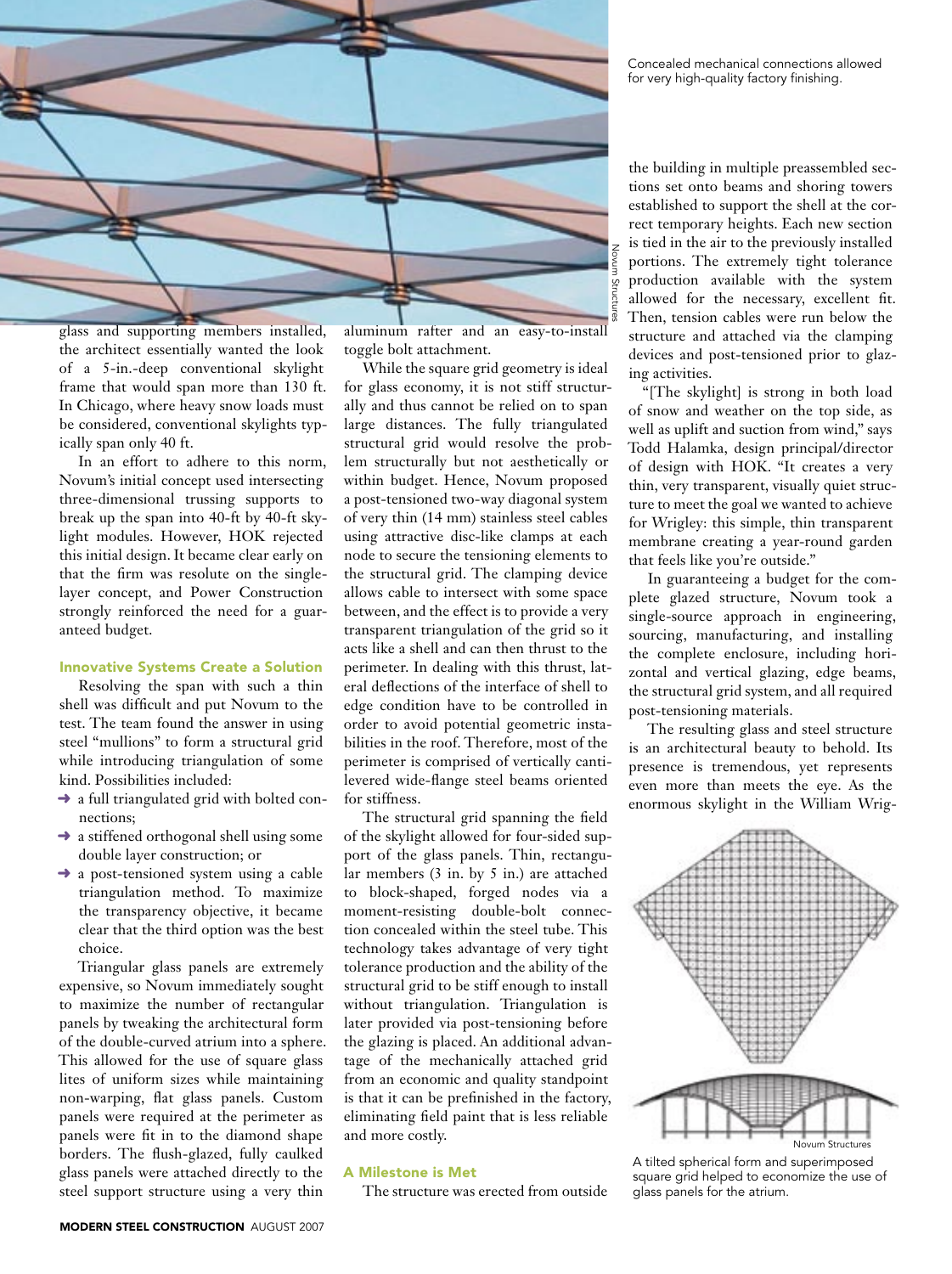

glass and supporting members installed, the architect essentially wanted the look of a 5-in.-deep conventional skylight frame that would span more than 130 ft. In Chicago, where heavy snow loads must be considered, conventional skylights typically span only 40 ft.

In an effort to adhere to this norm, Novum's initial concept used intersecting three-dimensional trussing supports to break up the span into 40-ft by 40-ft skylight modules. However, HOK rejected this initial design. It became clear early on that the firm was resolute on the singlelayer concept, and Power Construction strongly reinforced the need for a guaranteed budget.

#### Innovative Systems Create a Solution

Resolving the span with such a thin shell was difficult and put Novum to the test. The team found the answer in using steel "mullions" to form a structural grid while introducing triangulation of some kind. Possibilities included:

- $\rightarrow$  a full triangulated grid with bolted connections;
- $\rightarrow$  a stiffened orthogonal shell using some double layer construction; or
- ➜ a post-tensioned system using a cable triangulation method. To maximize the transparency objective, it became clear that the third option was the best choice.

Triangular glass panels are extremely expensive, so Novum immediately sought to maximize the number of rectangular panels by tweaking the architectural form of the double-curved atrium into a sphere. This allowed for the use of square glass lites of uniform sizes while maintaining non-warping, flat glass panels. Custom panels were required at the perimeter as panels were fit in to the diamond shape borders. The flush-glazed, fully caulked glass panels were attached directly to the steel support structure using a very thin

aluminum rafter and an easy-to-install toggle bolt attachment.

While the square grid geometry is ideal for glass economy, it is not stiff structurally and thus cannot be relied on to span large distances. The fully triangulated structural grid would resolve the problem structurally but not aesthetically or within budget. Hence, Novum proposed a post-tensioned two-way diagonal system of very thin (14 mm) stainless steel cables using attractive disc-like clamps at each node to secure the tensioning elements to the structural grid. The clamping device allows cable to intersect with some space between, and the effect is to provide a very transparent triangulation of the grid so it acts like a shell and can then thrust to the perimeter. In dealing with this thrust, lateral deflections of the interface of shell to edge condition have to be controlled in order to avoid potential geometric instabilities in the roof. Therefore, most of the perimeter is comprised of vertically cantilevered wide-flange steel beams oriented for stiffness.

The structural grid spanning the field of the skylight allowed for four-sided support of the glass panels. Thin, rectangular members (3 in. by 5 in.) are attached to block-shaped, forged nodes via a moment-resisting double-bolt connection concealed within the steel tube. This technology takes advantage of very tight tolerance production and the ability of the structural grid to be stiff enough to install without triangulation. Triangulation is later provided via post-tensioning before the glazing is placed. An additional advantage of the mechanically attached grid from an economic and quality standpoint is that it can be prefinished in the factory, eliminating field paint that is less reliable and more costly.

### A Milestone is Met

The structure was erected from outside

Concealed mechanical connections allowed for very high-quality factory finishing.

the building in multiple preassembled sections set onto beams and shoring towers established to support the shell at the correct temporary heights. Each new section is tied in the air to the previously installed portions. The extremely tight tolerance production available with the system allowed for the necessary, excellent fit. Then, tension cables were run below the structure and attached via the clamping devices and post-tensioned prior to glazing activities.

"[The skylight] is strong in both load of snow and weather on the top side, as well as uplift and suction from wind," says Todd Halamka, design principal/director of design with HOK. "It creates a very thin, very transparent, visually quiet structure to meet the goal we wanted to achieve for Wrigley: this simple, thin transparent membrane creating a year-round garden that feels like you're outside."

In guaranteeing a budget for the complete glazed structure, Novum took a single-source approach in engineering, sourcing, manufacturing, and installing the complete enclosure, including horizontal and vertical glazing, edge beams, the structural grid system, and all required post-tensioning materials.

The resulting glass and steel structure is an architectural beauty to behold. Its presence is tremendous, yet represents even more than meets the eye. As the enormous skylight in the William Wrig-



A tilted spherical form and superimposed square grid helped to economize the use of glass panels for the atrium.